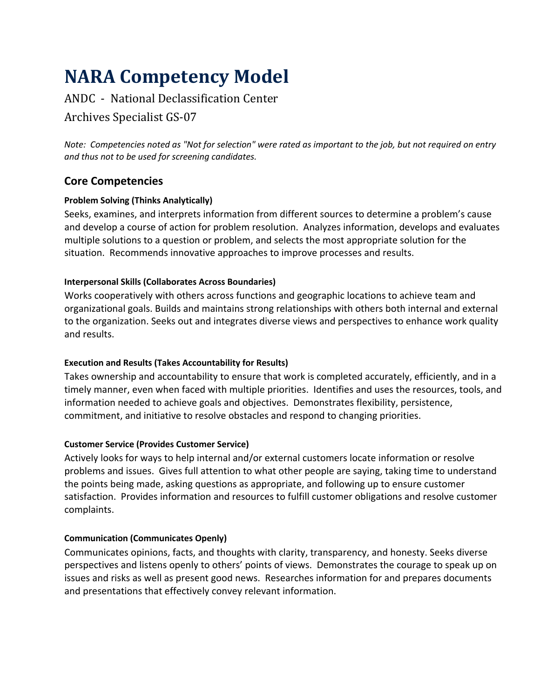# **NARA Competency Model**

# ANDC - National Declassification Center

# Archives Specialist GS-07

*Note: Competencies noted as "Not for selection" were rated as important to the job, but not required on entry and thus not to be used for screening candidates.*

# **Core Competencies**

# **Problem Solving (Thinks Analytically)**

Seeks, examines, and interprets information from different sources to determine a problem's cause and develop a course of action for problem resolution. Analyzes information, develops and evaluates multiple solutions to a question or problem, and selects the most appropriate solution for the situation. Recommends innovative approaches to improve processes and results.

# **Interpersonal Skills (Collaborates Across Boundaries)**

Works cooperatively with others across functions and geographic locations to achieve team and organizational goals. Builds and maintains strong relationships with others both internal and external to the organization. Seeks out and integrates diverse views and perspectives to enhance work quality and results.

# **Execution and Results (Takes Accountability for Results)**

Takes ownership and accountability to ensure that work is completed accurately, efficiently, and in a timely manner, even when faced with multiple priorities. Identifies and uses the resources, tools, and information needed to achieve goals and objectives. Demonstrates flexibility, persistence, commitment, and initiative to resolve obstacles and respond to changing priorities.

# **Customer Service (Provides Customer Service)**

Actively looks for ways to help internal and/or external customers locate information or resolve problems and issues. Gives full attention to what other people are saying, taking time to understand the points being made, asking questions as appropriate, and following up to ensure customer satisfaction. Provides information and resources to fulfill customer obligations and resolve customer complaints.

# **Communication (Communicates Openly)**

Communicates opinions, facts, and thoughts with clarity, transparency, and honesty. Seeks diverse perspectives and listens openly to others' points of views. Demonstrates the courage to speak up on issues and risks as well as present good news. Researches information for and prepares documents and presentations that effectively convey relevant information.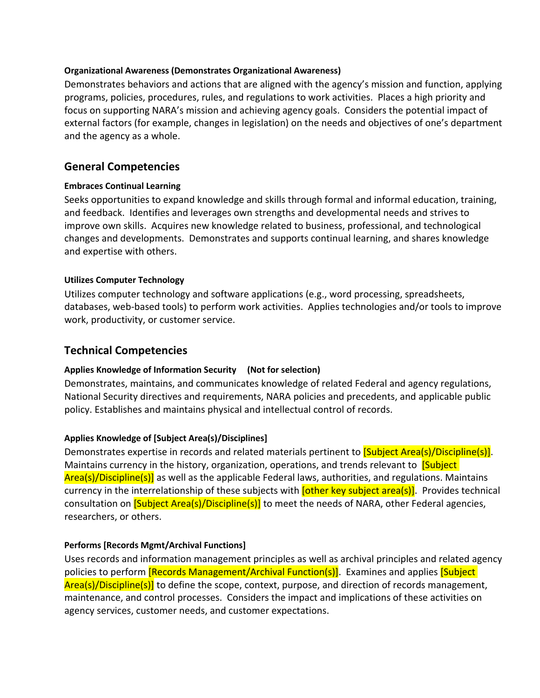#### **Organizational Awareness (Demonstrates Organizational Awareness)**

Demonstrates behaviors and actions that are aligned with the agency's mission and function, applying programs, policies, procedures, rules, and regulations to work activities. Places a high priority and focus on supporting NARA's mission and achieving agency goals. Considers the potential impact of external factors (for example, changes in legislation) on the needs and objectives of one's department and the agency as a whole.

# **General Competencies**

#### **Embraces Continual Learning**

Seeks opportunities to expand knowledge and skills through formal and informal education, training, and feedback. Identifies and leverages own strengths and developmental needs and strives to improve own skills. Acquires new knowledge related to business, professional, and technological changes and developments. Demonstrates and supports continual learning, and shares knowledge and expertise with others.

#### **Utilizes Computer Technology**

Utilizes computer technology and software applications (e.g., word processing, spreadsheets, databases, web-based tools) to perform work activities. Applies technologies and/or tools to improve work, productivity, or customer service.

# **Technical Competencies**

#### **Applies Knowledge of Information Security (Not for selection)**

Demonstrates, maintains, and communicates knowledge of related Federal and agency regulations, National Security directives and requirements, NARA policies and precedents, and applicable public policy. Establishes and maintains physical and intellectual control of records.

#### **Applies Knowledge of [Subject Area(s)/Disciplines]**

Demonstrates expertise in records and related materials pertinent to **[Subject Area(s)/Discipline(s)]**. Maintains currency in the history, organization, operations, and trends relevant to **[Subject**] Area(s)/Discipline(s)] as well as the applicable Federal laws, authorities, and regulations. Maintains currency in the interrelationship of these subjects with *[other key subject area(s)]*. Provides technical consultation on **[Subject Area(s)/Discipline(s)]** to meet the needs of NARA, other Federal agencies, researchers, or others.

#### **Performs [Records Mgmt/Archival Functions]**

Uses records and information management principles as well as archival principles and related agency policies to perform **[Records Management/Archival Function(s)]**. Examines and applies **[Subject**] Area(s)/Discipline(s)] to define the scope, context, purpose, and direction of records management, maintenance, and control processes.Considers the impact and implications of these activities on agency services, customer needs, and customer expectations.